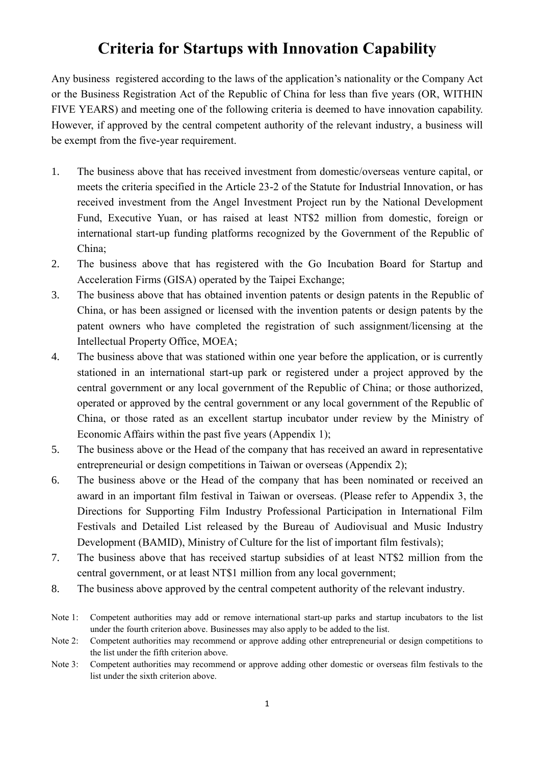## **Criteria for Startups with Innovation Capability**

Any business registered according to the laws of the application's nationality or the Company Act or the Business Registration Act of the Republic of China for less than five years (OR, WITHIN FIVE YEARS) and meeting one of the following criteria is deemed to have innovation capability. However, if approved by the central competent authority of the relevant industry, a business will be exempt from the five-year requirement.

- 1. The business above that has received investment from domestic/overseas venture capital, or meets the criteria specified in the Article 23-2 of the Statute for Industrial Innovation, or has received investment from the Angel Investment Project run by the National Development Fund, Executive Yuan, or has raised at least NT\$2 million from domestic, foreign or international start-up funding platforms recognized by the Government of the Republic of China;
- 2. The business above that has registered with the Go Incubation Board for Startup and Acceleration Firms (GISA) operated by the Taipei Exchange;
- 3. The business above that has obtained invention patents or design patents in the Republic of China, or has been assigned or licensed with the invention patents or design patents by the patent owners who have completed the registration of such assignment/licensing at the Intellectual Property Office, MOEA;
- 4. The business above that was stationed within one year before the application, or is currently stationed in an international start-up park or registered under a project approved by the central government or any local government of the Republic of China; or those authorized, operated or approved by the central government or any local government of the Republic of China, or those rated as an excellent startup incubator under review by the Ministry of Economic Affairs within the past five years (Appendix 1);
- 5. The business above or the Head of the company that has received an award in representative entrepreneurial or design competitions in Taiwan or overseas (Appendix 2);
- 6. The business above or the Head of the company that has been nominated or received an award in an important film festival in Taiwan or overseas. (Please refer to Appendix 3, the Directions for Supporting Film Industry Professional Participation in International Film Festivals and Detailed List released by the Bureau of Audiovisual and Music Industry Development (BAMID), Ministry of Culture for the list of important film festivals);
- 7. The business above that has received startup subsidies of at least NT\$2 million from the central government, or at least NT\$1 million from any local government;
- 8. The business above approved by the central competent authority of the relevant industry.
- Note 1: Competent authorities may add or remove international start-up parks and startup incubators to the list under the fourth criterion above. Businesses may also apply to be added to the list.
- Note 2: Competent authorities may recommend or approve adding other entrepreneurial or design competitions to the list under the fifth criterion above.
- Note 3: Competent authorities may recommend or approve adding other domestic or overseas film festivals to the list under the sixth criterion above.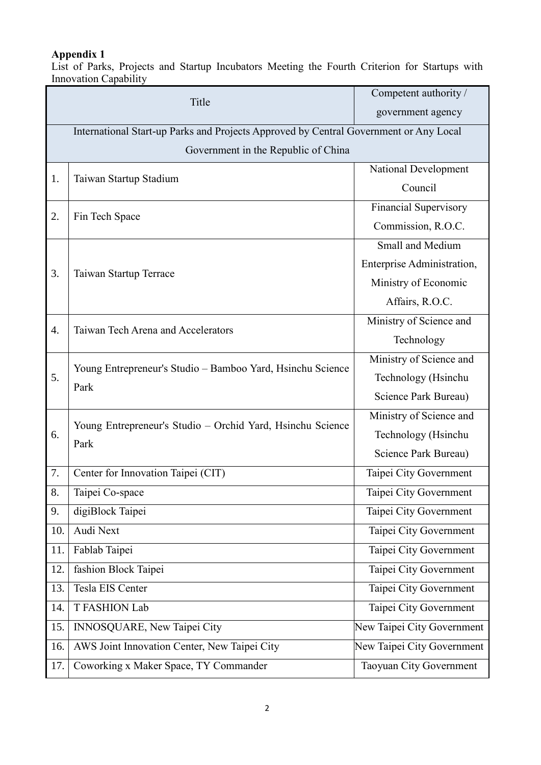## **Appendix 1**

List of Parks, Projects and Startup Incubators Meeting the Fourth Criterion for Startups with Innovation Capability

| Title            |                                                                                       | Competent authority /        |  |  |
|------------------|---------------------------------------------------------------------------------------|------------------------------|--|--|
|                  |                                                                                       | government agency            |  |  |
|                  | International Start-up Parks and Projects Approved by Central Government or Any Local |                              |  |  |
|                  | Government in the Republic of China                                                   |                              |  |  |
|                  |                                                                                       | National Development         |  |  |
| 1.               | Taiwan Startup Stadium                                                                | Council                      |  |  |
| 2.               | Fin Tech Space                                                                        | <b>Financial Supervisory</b> |  |  |
|                  |                                                                                       | Commission, R.O.C.           |  |  |
|                  |                                                                                       | Small and Medium             |  |  |
| 3.               | Taiwan Startup Terrace                                                                | Enterprise Administration,   |  |  |
|                  |                                                                                       | Ministry of Economic         |  |  |
|                  |                                                                                       | Affairs, R.O.C.              |  |  |
| $\overline{4}$ . | Taiwan Tech Arena and Accelerators                                                    | Ministry of Science and      |  |  |
|                  |                                                                                       | Technology                   |  |  |
|                  | Young Entrepreneur's Studio - Bamboo Yard, Hsinchu Science<br>Park                    | Ministry of Science and      |  |  |
| 5.               |                                                                                       | Technology (Hsinchu          |  |  |
|                  |                                                                                       | Science Park Bureau)         |  |  |
|                  | Young Entrepreneur's Studio - Orchid Yard, Hsinchu Science<br>Park                    | Ministry of Science and      |  |  |
| 6.               |                                                                                       | Technology (Hsinchu          |  |  |
|                  |                                                                                       | Science Park Bureau)         |  |  |
| 7.               | Center for Innovation Taipei (CIT)                                                    | Taipei City Government       |  |  |
| 8.               | Taipei Co-space                                                                       | Taipei City Government       |  |  |
| 9.               | digiBlock Taipei                                                                      | Taipei City Government       |  |  |
| 10.              | Audi Next                                                                             | Taipei City Government       |  |  |
| 11.              | Fablab Taipei                                                                         | Taipei City Government       |  |  |
| 12.              | fashion Block Taipei                                                                  | Taipei City Government       |  |  |
| 13.              | Tesla EIS Center                                                                      | Taipei City Government       |  |  |
| 14.              | <b>T FASHION Lab</b>                                                                  | Taipei City Government       |  |  |
| 15.              | INNOSQUARE, New Taipei City                                                           | New Taipei City Government   |  |  |
| 16.              | AWS Joint Innovation Center, New Taipei City                                          | New Taipei City Government   |  |  |
| 17.              | Coworking x Maker Space, TY Commander                                                 | Taoyuan City Government      |  |  |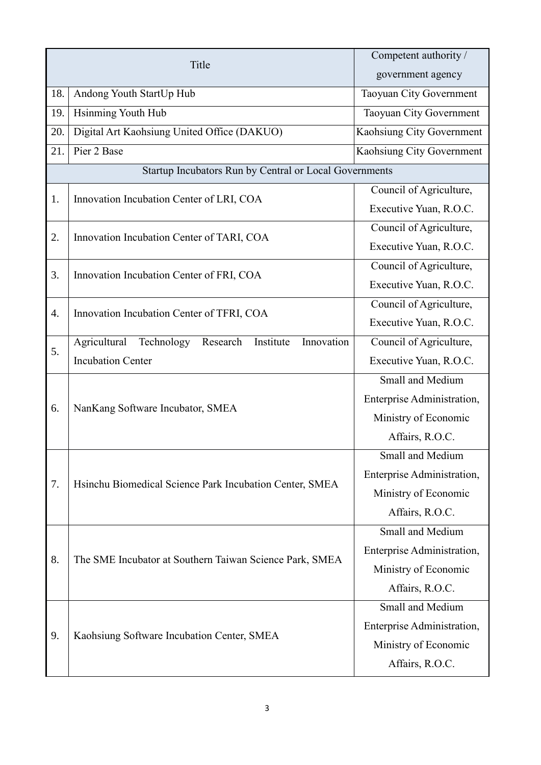| Title                                                                                         | Competent authority /      |
|-----------------------------------------------------------------------------------------------|----------------------------|
|                                                                                               | government agency          |
| Andong Youth StartUp Hub<br>18.                                                               | Taoyuan City Government    |
| Hsinming Youth Hub<br>19.                                                                     | Taoyuan City Government    |
| Digital Art Kaohsiung United Office (DAKUO)<br>20.                                            | Kaohsiung City Government  |
| Pier 2 Base<br>21.                                                                            | Kaohsiung City Government  |
| Startup Incubators Run by Central or Local Governments                                        |                            |
|                                                                                               | Council of Agriculture,    |
| Innovation Incubation Center of LRI, COA<br>1.                                                | Executive Yuan, R.O.C.     |
| 2.                                                                                            | Council of Agriculture,    |
| Innovation Incubation Center of TARI, COA                                                     | Executive Yuan, R.O.C.     |
|                                                                                               | Council of Agriculture,    |
| 3.<br>Innovation Incubation Center of FRI, COA                                                | Executive Yuan, R.O.C.     |
|                                                                                               | Council of Agriculture,    |
| Innovation Incubation Center of TFRI, COA<br>4.                                               | Executive Yuan, R.O.C.     |
| Innovation<br>Agricultural<br>Technology<br>Research<br>Institute<br><b>Incubation Center</b> | Council of Agriculture,    |
|                                                                                               | Executive Yuan, R.O.C.     |
|                                                                                               | Small and Medium           |
| 6.                                                                                            | Enterprise Administration, |
| NanKang Software Incubator, SMEA                                                              | Ministry of Economic       |
|                                                                                               | Affairs, R.O.C.            |
|                                                                                               | Small and Medium           |
|                                                                                               | Enterprise Administration, |
| 7.<br>Hsinchu Biomedical Science Park Incubation Center, SMEA                                 | Ministry of Economic       |
|                                                                                               | Affairs, R.O.C.            |
|                                                                                               | Small and Medium           |
|                                                                                               | Enterprise Administration, |
| 8.<br>The SME Incubator at Southern Taiwan Science Park, SMEA                                 | Ministry of Economic       |
|                                                                                               | Affairs, R.O.C.            |
|                                                                                               | <b>Small and Medium</b>    |
| 9.                                                                                            | Enterprise Administration, |
| Kaohsiung Software Incubation Center, SMEA                                                    | Ministry of Economic       |
|                                                                                               | Affairs, R.O.C.            |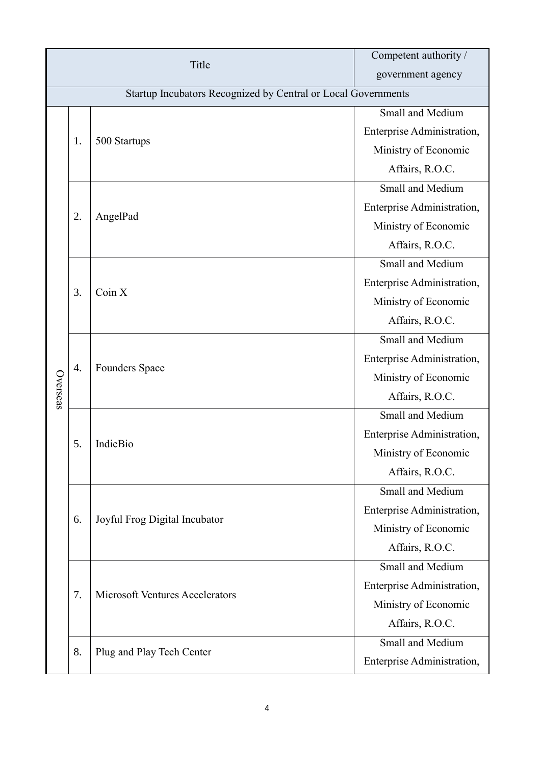| Title    |                                                               |                                        | Competent authority /      |  |  |
|----------|---------------------------------------------------------------|----------------------------------------|----------------------------|--|--|
|          |                                                               |                                        | government agency          |  |  |
|          | Startup Incubators Recognized by Central or Local Governments |                                        |                            |  |  |
|          |                                                               |                                        | Small and Medium           |  |  |
|          | 1.                                                            | 500 Startups                           | Enterprise Administration, |  |  |
|          |                                                               |                                        | Ministry of Economic       |  |  |
|          |                                                               |                                        | Affairs, R.O.C.            |  |  |
|          |                                                               |                                        | Small and Medium           |  |  |
|          |                                                               |                                        | Enterprise Administration, |  |  |
|          | 2.                                                            | AngelPad                               | Ministry of Economic       |  |  |
|          |                                                               |                                        | Affairs, R.O.C.            |  |  |
|          |                                                               |                                        | Small and Medium           |  |  |
|          |                                                               |                                        | Enterprise Administration, |  |  |
|          | 3.                                                            | Coin X                                 | Ministry of Economic       |  |  |
|          |                                                               |                                        | Affairs, R.O.C.            |  |  |
|          |                                                               |                                        | Small and Medium           |  |  |
|          |                                                               |                                        | Enterprise Administration, |  |  |
|          | 4.                                                            | <b>Founders Space</b>                  | Ministry of Economic       |  |  |
| Overseas |                                                               |                                        | Affairs, R.O.C.            |  |  |
|          | 5.                                                            | IndieBio                               | Small and Medium           |  |  |
|          |                                                               |                                        | Enterprise Administration, |  |  |
|          |                                                               |                                        | Ministry of Economic       |  |  |
|          |                                                               |                                        | Affairs, R.O.C.            |  |  |
|          |                                                               |                                        | Small and Medium           |  |  |
|          |                                                               |                                        | Enterprise Administration, |  |  |
|          | 6.                                                            | Joyful Frog Digital Incubator          | Ministry of Economic       |  |  |
|          |                                                               |                                        | Affairs, R.O.C.            |  |  |
|          |                                                               |                                        | Small and Medium           |  |  |
|          | 7.                                                            |                                        | Enterprise Administration, |  |  |
|          |                                                               | <b>Microsoft Ventures Accelerators</b> | Ministry of Economic       |  |  |
|          |                                                               |                                        | Affairs, R.O.C.            |  |  |
|          |                                                               |                                        | Small and Medium           |  |  |
|          | 8.                                                            | Plug and Play Tech Center              | Enterprise Administration, |  |  |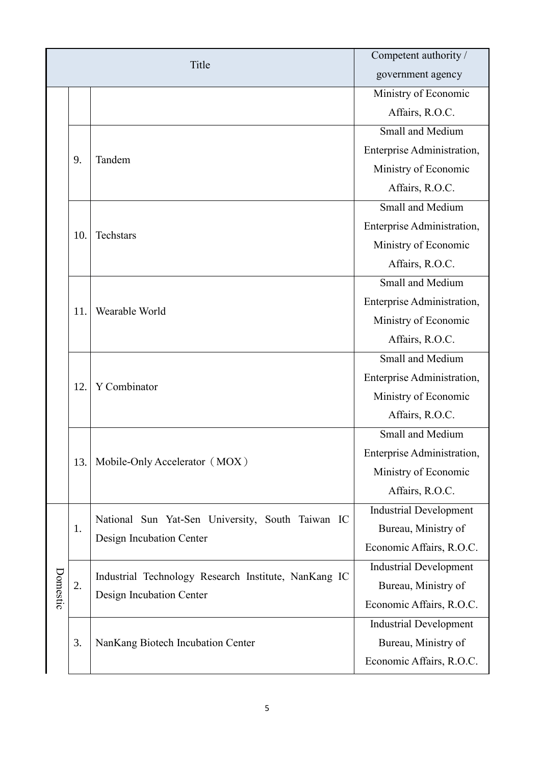| Title    |     |                                                      | Competent authority /         |
|----------|-----|------------------------------------------------------|-------------------------------|
|          |     |                                                      | government agency             |
|          |     |                                                      | Ministry of Economic          |
|          |     |                                                      | Affairs, R.O.C.               |
|          |     |                                                      | Small and Medium              |
|          | 9.  | Tandem                                               | Enterprise Administration,    |
|          |     |                                                      | Ministry of Economic          |
|          |     |                                                      | Affairs, R.O.C.               |
|          |     |                                                      | Small and Medium              |
|          | 10. | Techstars                                            | Enterprise Administration,    |
|          |     |                                                      | Ministry of Economic          |
|          |     |                                                      | Affairs, R.O.C.               |
|          |     | Wearable World                                       | Small and Medium              |
|          | 11. |                                                      | Enterprise Administration,    |
|          |     |                                                      | Ministry of Economic          |
|          |     |                                                      | Affairs, R.O.C.               |
|          |     | Y Combinator                                         | Small and Medium              |
|          | 12. |                                                      | Enterprise Administration,    |
|          |     |                                                      | Ministry of Economic          |
|          |     |                                                      | Affairs, R.O.C.               |
|          | 13. | Mobile-Only Accelerator (MOX)                        | Small and Medium              |
|          |     |                                                      | Enterprise Administration,    |
|          |     |                                                      | Ministry of Economic          |
|          |     |                                                      | Affairs, R.O.C.               |
|          |     | National Sun Yat-Sen University, South Taiwan IC     | <b>Industrial Development</b> |
|          | 1.  | Design Incubation Center                             | Bureau, Ministry of           |
|          |     |                                                      | Economic Affairs, R.O.C.      |
| Domestic |     | Industrial Technology Research Institute, NanKang IC | <b>Industrial Development</b> |
|          | 2.  |                                                      | Bureau, Ministry of           |
|          |     | Design Incubation Center                             | Economic Affairs, R.O.C.      |
|          |     | NanKang Biotech Incubation Center                    | <b>Industrial Development</b> |
|          | 3.  |                                                      | Bureau, Ministry of           |
|          |     |                                                      | Economic Affairs, R.O.C.      |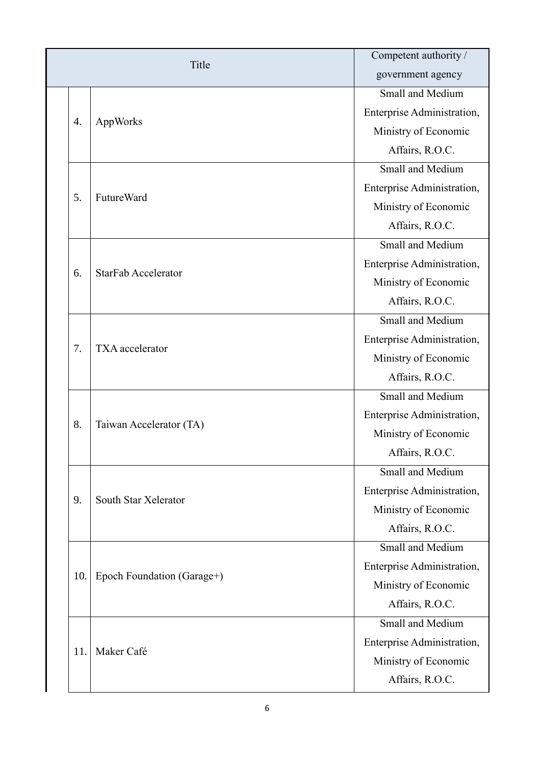| Title |                            | Competent authority /      |
|-------|----------------------------|----------------------------|
|       |                            | government agency          |
|       |                            | Small and Medium           |
| 4.    | AppWorks                   | Enterprise Administration, |
|       |                            | Ministry of Economic       |
|       |                            | Affairs, R.O.C.            |
|       |                            | <b>Small and Medium</b>    |
| 5.    | <b>FutureWard</b>          | Enterprise Administration, |
|       |                            | Ministry of Economic       |
|       |                            | Affairs, R.O.C.            |
|       |                            | Small and Medium           |
|       |                            | Enterprise Administration, |
| 6.    | <b>StarFab Accelerator</b> | Ministry of Economic       |
|       |                            | Affairs, R.O.C.            |
|       | TXA accelerator            | Small and Medium           |
| 7.    |                            | Enterprise Administration, |
|       |                            | Ministry of Economic       |
|       |                            | Affairs, R.O.C.            |
|       | Taiwan Accelerator (TA)    | Small and Medium           |
| 8.    |                            | Enterprise Administration, |
|       |                            | Ministry of Economic       |
|       |                            | Affairs, R.O.C.            |
|       |                            | Small and Medium           |
| 9.    | South Star Xelerator       | Enterprise Administration, |
|       |                            | Ministry of Economic       |
|       |                            | Affairs, R.O.C.            |
|       |                            | <b>Small and Medium</b>    |
| 10.   |                            | Enterprise Administration, |
|       | Epoch Foundation (Garage+) | Ministry of Economic       |
|       |                            | Affairs, R.O.C.            |
|       |                            | Small and Medium           |
| 11.   | Maker Café                 | Enterprise Administration, |
|       |                            | Ministry of Economic       |
|       |                            | Affairs, R.O.C.            |
|       |                            |                            |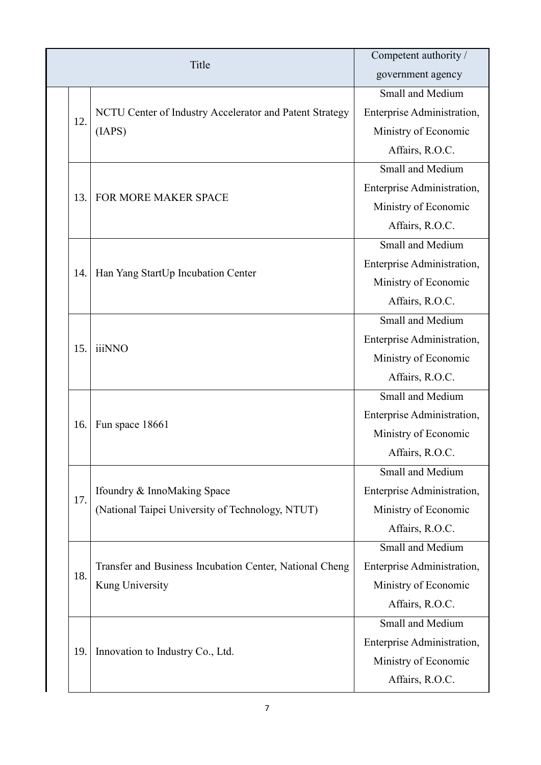| Title |                                                         | Competent authority /      |
|-------|---------------------------------------------------------|----------------------------|
|       |                                                         | government agency          |
|       |                                                         | Small and Medium           |
| 12.   | NCTU Center of Industry Accelerator and Patent Strategy | Enterprise Administration, |
|       | (IAPS)                                                  | Ministry of Economic       |
|       |                                                         | Affairs, R.O.C.            |
|       |                                                         | Small and Medium           |
|       | FOR MORE MAKER SPACE                                    | Enterprise Administration, |
| 13.   |                                                         | Ministry of Economic       |
|       |                                                         | Affairs, R.O.C.            |
|       |                                                         | Small and Medium           |
|       |                                                         | Enterprise Administration, |
| 14.   | Han Yang StartUp Incubation Center                      | Ministry of Economic       |
|       |                                                         | Affairs, R.O.C.            |
|       | <i>iiiNNO</i>                                           | Small and Medium           |
|       |                                                         | Enterprise Administration, |
| 15.   |                                                         | Ministry of Economic       |
|       |                                                         | Affairs, R.O.C.            |
|       | Fun space 18661                                         | Small and Medium           |
|       |                                                         | Enterprise Administration, |
| 16.   |                                                         | Ministry of Economic       |
|       |                                                         | Affairs, R.O.C.            |
|       |                                                         | Small and Medium           |
| 17.   | Ifoundry & InnoMaking Space                             | Enterprise Administration, |
|       | (National Taipei University of Technology, NTUT)        | Ministry of Economic       |
|       |                                                         | Affairs, R.O.C.            |
|       |                                                         | Small and Medium           |
| 18.   | Transfer and Business Incubation Center, National Cheng | Enterprise Administration, |
|       | Kung University                                         | Ministry of Economic       |
|       |                                                         | Affairs, R.O.C.            |
|       |                                                         | Small and Medium           |
|       | Innovation to Industry Co., Ltd.                        | Enterprise Administration, |
| 19.   |                                                         | Ministry of Economic       |
|       |                                                         | Affairs, R.O.C.            |
|       |                                                         |                            |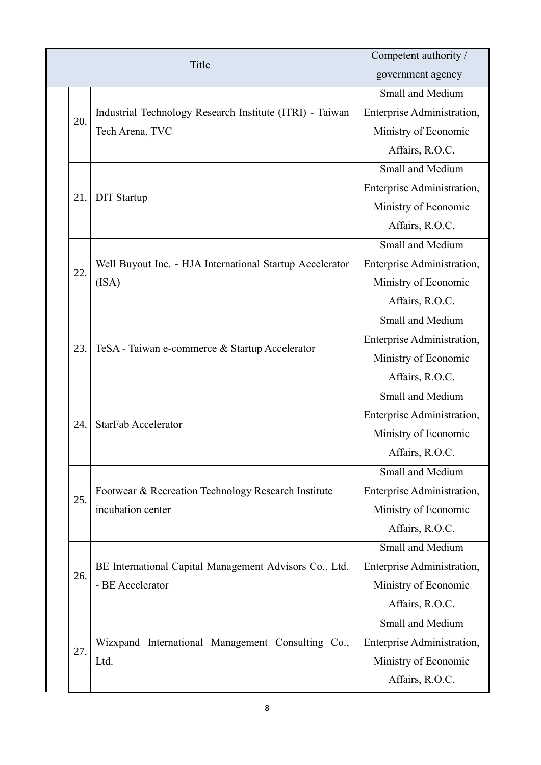| Title |                                                                            | Competent authority /      |
|-------|----------------------------------------------------------------------------|----------------------------|
|       |                                                                            | government agency          |
|       |                                                                            | Small and Medium           |
|       | Industrial Technology Research Institute (ITRI) - Taiwan                   | Enterprise Administration, |
| 20.   | Tech Arena, TVC                                                            | Ministry of Economic       |
|       |                                                                            | Affairs, R.O.C.            |
|       |                                                                            | Small and Medium           |
| 21.   |                                                                            | Enterprise Administration, |
|       | <b>DIT Startup</b>                                                         | Ministry of Economic       |
|       |                                                                            | Affairs, R.O.C.            |
|       |                                                                            | Small and Medium           |
|       | Well Buyout Inc. - HJA International Startup Accelerator                   | Enterprise Administration, |
| 22.   | (ISA)                                                                      | Ministry of Economic       |
|       |                                                                            | Affairs, R.O.C.            |
|       | TeSA - Taiwan e-commerce & Startup Accelerator                             | Small and Medium           |
|       |                                                                            | Enterprise Administration, |
| 23.   |                                                                            | Ministry of Economic       |
|       |                                                                            | Affairs, R.O.C.            |
|       | <b>StarFab Accelerator</b>                                                 | Small and Medium           |
|       |                                                                            | Enterprise Administration, |
| 24.   |                                                                            | Ministry of Economic       |
|       |                                                                            | Affairs, R.O.C.            |
|       |                                                                            | Small and Medium           |
| 25.   | Footwear & Recreation Technology Research Institute                        | Enterprise Administration, |
|       | incubation center                                                          | Ministry of Economic       |
|       |                                                                            | Affairs, R.O.C.            |
|       |                                                                            | Small and Medium           |
| 26.   | BE International Capital Management Advisors Co., Ltd.<br>- BE Accelerator | Enterprise Administration, |
|       |                                                                            | Ministry of Economic       |
|       |                                                                            | Affairs, R.O.C.            |
|       |                                                                            | Small and Medium           |
| 27.   | Wizxpand International Management Consulting Co.,<br>Ltd.                  | Enterprise Administration, |
|       |                                                                            | Ministry of Economic       |
|       |                                                                            | Affairs, R.O.C.            |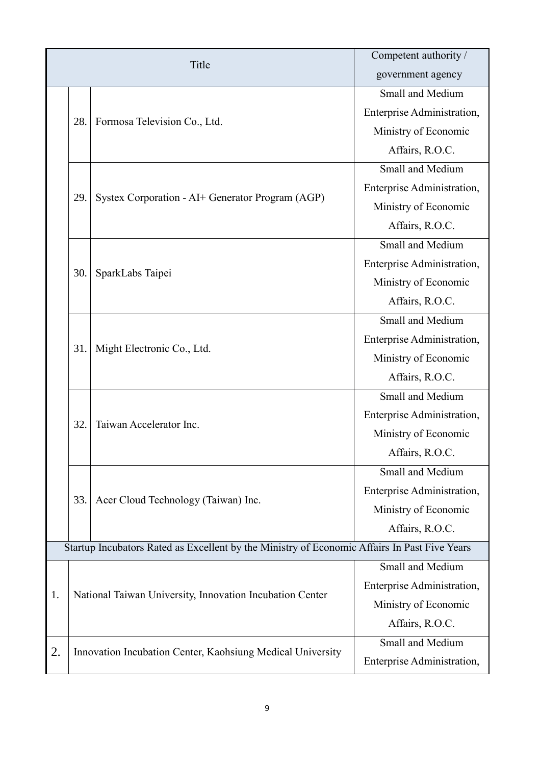| Title                                                                                        |                                                            |                                                  | Competent authority /      |  |
|----------------------------------------------------------------------------------------------|------------------------------------------------------------|--------------------------------------------------|----------------------------|--|
|                                                                                              |                                                            |                                                  | government agency          |  |
|                                                                                              |                                                            |                                                  | Small and Medium           |  |
|                                                                                              |                                                            |                                                  | Enterprise Administration, |  |
|                                                                                              | 28.                                                        | Formosa Television Co., Ltd.                     | Ministry of Economic       |  |
|                                                                                              |                                                            |                                                  | Affairs, R.O.C.            |  |
|                                                                                              |                                                            |                                                  | Small and Medium           |  |
|                                                                                              |                                                            |                                                  | Enterprise Administration, |  |
|                                                                                              | 29.                                                        | Systex Corporation - AI+ Generator Program (AGP) | Ministry of Economic       |  |
|                                                                                              |                                                            |                                                  | Affairs, R.O.C.            |  |
|                                                                                              |                                                            |                                                  | Small and Medium           |  |
|                                                                                              |                                                            |                                                  | Enterprise Administration, |  |
|                                                                                              | 30.                                                        | SparkLabs Taipei                                 | Ministry of Economic       |  |
|                                                                                              |                                                            |                                                  | Affairs, R.O.C.            |  |
|                                                                                              |                                                            |                                                  | Small and Medium           |  |
|                                                                                              | 31.                                                        | Might Electronic Co., Ltd.                       | Enterprise Administration, |  |
|                                                                                              |                                                            |                                                  | Ministry of Economic       |  |
|                                                                                              |                                                            |                                                  | Affairs, R.O.C.            |  |
|                                                                                              | 32.                                                        | Taiwan Accelerator Inc.                          | Small and Medium           |  |
|                                                                                              |                                                            |                                                  | Enterprise Administration, |  |
|                                                                                              |                                                            |                                                  | Ministry of Economic       |  |
|                                                                                              |                                                            |                                                  | Affairs, R.O.C.            |  |
|                                                                                              |                                                            |                                                  | Small and Medium           |  |
|                                                                                              |                                                            | Acer Cloud Technology (Taiwan) Inc.              | Enterprise Administration, |  |
|                                                                                              | 33.                                                        |                                                  | Ministry of Economic       |  |
|                                                                                              |                                                            |                                                  | Affairs, R.O.C.            |  |
| Startup Incubators Rated as Excellent by the Ministry of Economic Affairs In Past Five Years |                                                            |                                                  |                            |  |
|                                                                                              |                                                            |                                                  | Small and Medium           |  |
|                                                                                              |                                                            |                                                  | Enterprise Administration, |  |
| 1.                                                                                           | National Taiwan University, Innovation Incubation Center   |                                                  | Ministry of Economic       |  |
|                                                                                              |                                                            |                                                  | Affairs, R.O.C.            |  |
|                                                                                              |                                                            |                                                  | Small and Medium           |  |
| 2.                                                                                           | Innovation Incubation Center, Kaohsiung Medical University |                                                  | Enterprise Administration, |  |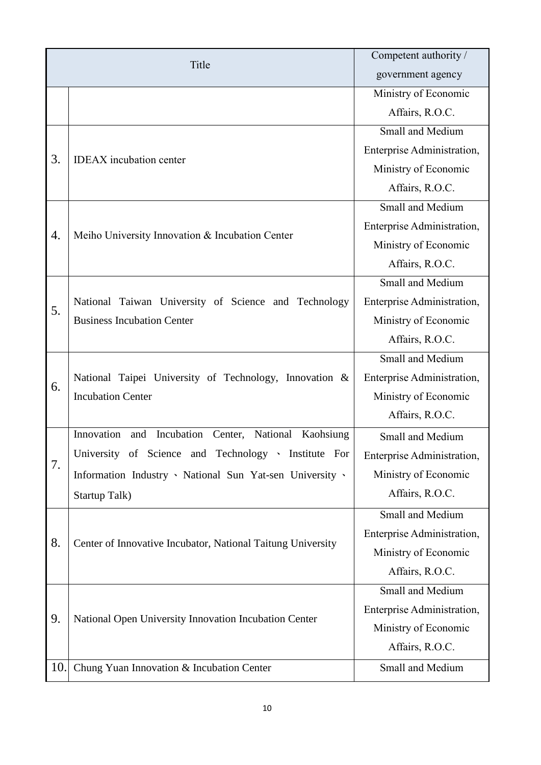| Title |                                                                                           | Competent authority /      |
|-------|-------------------------------------------------------------------------------------------|----------------------------|
|       |                                                                                           | government agency          |
|       |                                                                                           | Ministry of Economic       |
|       |                                                                                           | Affairs, R.O.C.            |
|       |                                                                                           | Small and Medium           |
| 3.    | <b>IDEAX</b> incubation center                                                            | Enterprise Administration, |
|       |                                                                                           | Ministry of Economic       |
|       |                                                                                           | Affairs, R.O.C.            |
|       |                                                                                           | Small and Medium           |
| 4.    |                                                                                           | Enterprise Administration, |
|       | Meiho University Innovation & Incubation Center                                           | Ministry of Economic       |
|       |                                                                                           | Affairs, R.O.C.            |
|       |                                                                                           | Small and Medium           |
| 5.    | National Taiwan University of Science and Technology<br><b>Business Incubation Center</b> | Enterprise Administration, |
|       |                                                                                           | Ministry of Economic       |
|       |                                                                                           | Affairs, R.O.C.            |
|       | National Taipei University of Technology, Innovation &<br><b>Incubation Center</b>        | Small and Medium           |
| 6.    |                                                                                           | Enterprise Administration, |
|       |                                                                                           | Ministry of Economic       |
|       |                                                                                           | Affairs, R.O.C.            |
|       | Innovation<br>Incubation Center, National Kaohsiung<br>and                                | Small and Medium           |
| 7.    | University of Science and Technology · Institute For                                      | Enterprise Administration, |
|       | Information Industry · National Sun Yat-sen University ·                                  | Ministry of Economic       |
|       | Startup Talk)                                                                             | Affairs, R.O.C.            |
|       |                                                                                           | Small and Medium           |
| 8.    |                                                                                           | Enterprise Administration, |
|       | Center of Innovative Incubator, National Taitung University                               | Ministry of Economic       |
|       |                                                                                           | Affairs, R.O.C.            |
|       |                                                                                           | Small and Medium           |
|       |                                                                                           | Enterprise Administration, |
| 9.    | National Open University Innovation Incubation Center                                     |                            |
|       |                                                                                           | Ministry of Economic       |
|       |                                                                                           | Affairs, R.O.C.            |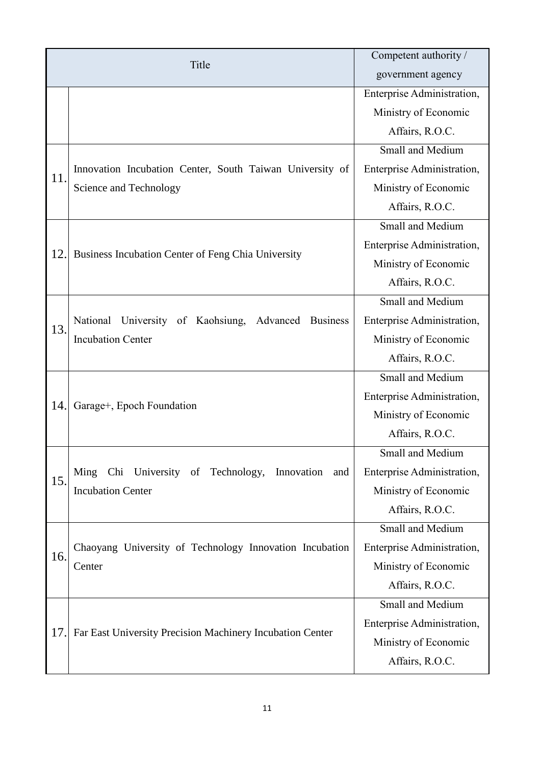|     | Title                                                                                        | Competent authority /      |
|-----|----------------------------------------------------------------------------------------------|----------------------------|
|     |                                                                                              | government agency          |
|     |                                                                                              | Enterprise Administration, |
|     |                                                                                              | Ministry of Economic       |
|     |                                                                                              | Affairs, R.O.C.            |
|     |                                                                                              | Small and Medium           |
| 11. | Innovation Incubation Center, South Taiwan University of                                     | Enterprise Administration, |
|     | Science and Technology                                                                       | Ministry of Economic       |
|     |                                                                                              | Affairs, R.O.C.            |
|     |                                                                                              | Small and Medium           |
|     | Business Incubation Center of Feng Chia University                                           | Enterprise Administration, |
| 12. |                                                                                              | Ministry of Economic       |
|     |                                                                                              | Affairs, R.O.C.            |
|     | National University of Kaohsiung,<br>Advanced<br><b>Business</b><br><b>Incubation Center</b> | Small and Medium           |
| 13. |                                                                                              | Enterprise Administration, |
|     |                                                                                              | Ministry of Economic       |
|     |                                                                                              | Affairs, R.O.C.            |
|     | Garage+, Epoch Foundation                                                                    | Small and Medium           |
|     |                                                                                              | Enterprise Administration, |
| 14. |                                                                                              | Ministry of Economic       |
|     |                                                                                              | Affairs, R.O.C.            |
|     |                                                                                              | Small and Medium           |
| 15. | Chi University of Technology, Innovation<br>Ming<br>and                                      | Enterprise Administration, |
|     | <b>Incubation Center</b>                                                                     | Ministry of Economic       |
|     |                                                                                              | Affairs, R.O.C.            |
|     | Chaoyang University of Technology Innovation Incubation<br>Center                            | Small and Medium           |
| 16. |                                                                                              | Enterprise Administration, |
|     |                                                                                              | Ministry of Economic       |
|     |                                                                                              | Affairs, R.O.C.            |
|     |                                                                                              | Small and Medium           |
| 17. | Far East University Precision Machinery Incubation Center                                    | Enterprise Administration, |
|     |                                                                                              | Ministry of Economic       |
|     |                                                                                              | Affairs, R.O.C.            |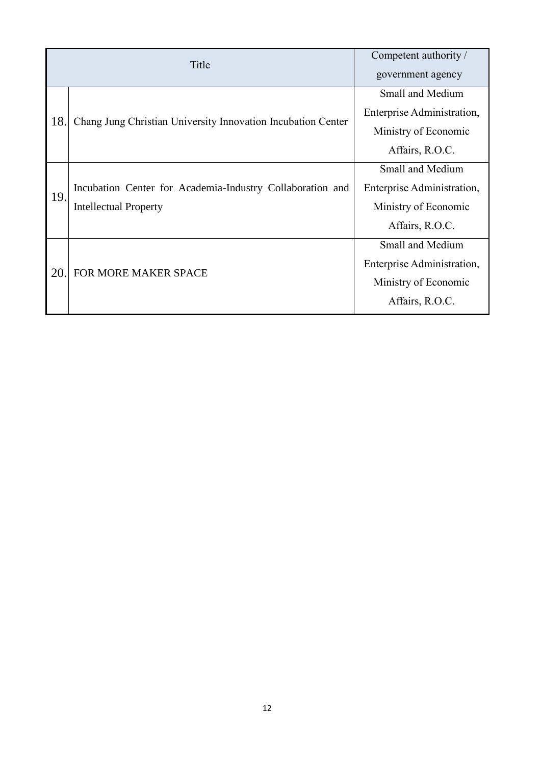|     | Title                                                        | Competent authority /<br>government agency |
|-----|--------------------------------------------------------------|--------------------------------------------|
|     |                                                              | Small and Medium                           |
| 18. | Chang Jung Christian University Innovation Incubation Center | Enterprise Administration,                 |
|     |                                                              | Ministry of Economic                       |
|     |                                                              | Affairs, R.O.C.                            |
|     |                                                              | <b>Small and Medium</b>                    |
| 19. | Incubation Center for Academia-Industry Collaboration and    | Enterprise Administration,                 |
|     | <b>Intellectual Property</b>                                 | Ministry of Economic                       |
|     |                                                              | Affairs, R.O.C.                            |
|     |                                                              | <b>Small and Medium</b>                    |
| 20. | <b>FOR MORE MAKER SPACE</b>                                  | Enterprise Administration,                 |
|     |                                                              | Ministry of Economic                       |
|     |                                                              | Affairs, R.O.C.                            |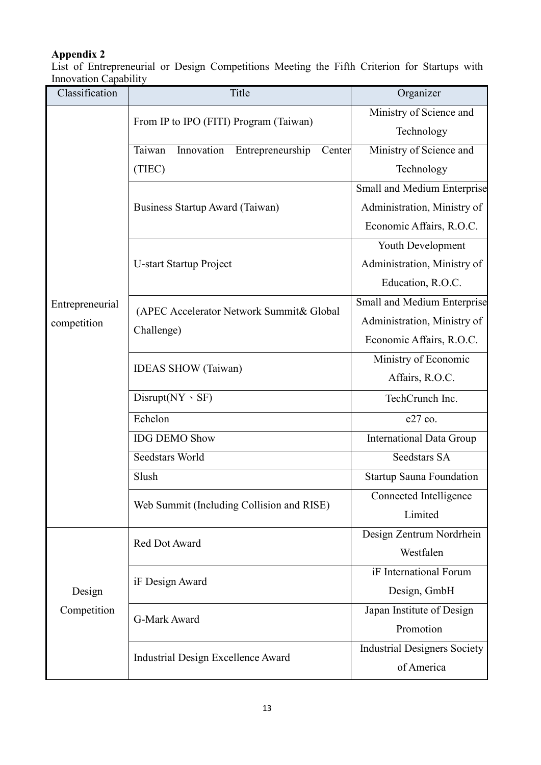## **Appendix 2**

List of Entrepreneurial or Design Competitions Meeting the Fifth Criterion for Startups with Innovation Capability

| Classification  | Title                                                  | Organizer                           |
|-----------------|--------------------------------------------------------|-------------------------------------|
|                 | From IP to IPO (FITI) Program (Taiwan)                 | Ministry of Science and             |
|                 |                                                        | Technology                          |
|                 | Taiwan<br>Innovation<br>Entrepreneurship<br>Center     | Ministry of Science and             |
|                 | (TIEC)                                                 | Technology                          |
|                 |                                                        | Small and Medium Enterprise         |
|                 | Business Startup Award (Taiwan)                        | Administration, Ministry of         |
|                 |                                                        | Economic Affairs, R.O.C.            |
|                 |                                                        | Youth Development                   |
|                 | <b>U-start Startup Project</b>                         | Administration, Ministry of         |
|                 |                                                        | Education, R.O.C.                   |
| Entrepreneurial |                                                        | Small and Medium Enterprise         |
| competition     | (APEC Accelerator Network Summit& Global<br>Challenge) | Administration, Ministry of         |
|                 |                                                        | Economic Affairs, R.O.C.            |
|                 | <b>IDEAS SHOW</b> (Taiwan)                             | Ministry of Economic                |
|                 |                                                        | Affairs, R.O.C.                     |
|                 | $Disrupt(NY \cdot SF)$                                 | TechCrunch Inc.                     |
|                 | Echelon                                                | e27 co.                             |
|                 | <b>IDG DEMO Show</b>                                   | <b>International Data Group</b>     |
|                 | Seedstars World                                        | Seedstars SA                        |
|                 | Slush                                                  | <b>Startup Sauna Foundation</b>     |
|                 | Web Summit (Including Collision and RISE)              | Connected Intelligence              |
|                 |                                                        | Limited                             |
|                 | Red Dot Award                                          | Design Zentrum Nordrhein            |
|                 |                                                        | Westfalen                           |
|                 | iF Design Award                                        | iF International Forum              |
| Design          |                                                        | Design, GmbH                        |
| Competition     | G-Mark Award                                           | Japan Institute of Design           |
|                 |                                                        | Promotion                           |
|                 | Industrial Design Excellence Award                     | <b>Industrial Designers Society</b> |
|                 |                                                        | of America                          |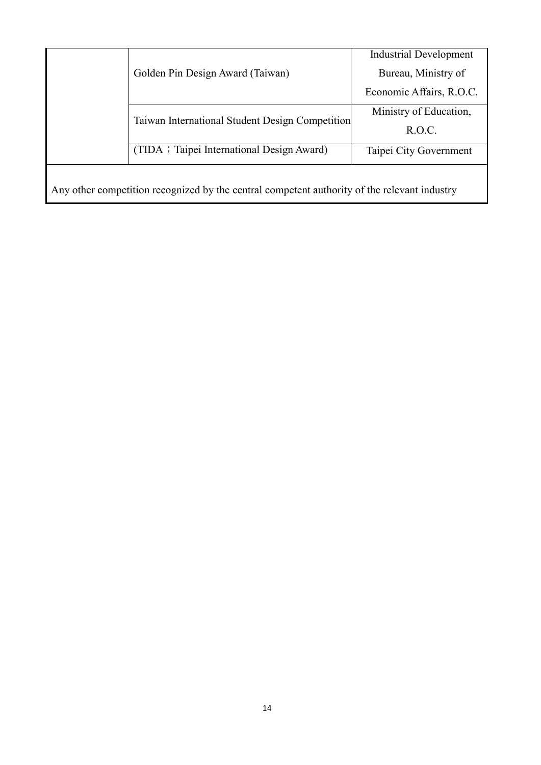|                                                                                              | Golden Pin Design Award (Taiwan)                | <b>Industrial Development</b> |
|----------------------------------------------------------------------------------------------|-------------------------------------------------|-------------------------------|
|                                                                                              |                                                 | Bureau, Ministry of           |
|                                                                                              |                                                 | Economic Affairs, R.O.C.      |
|                                                                                              | Taiwan International Student Design Competition | Ministry of Education,        |
|                                                                                              |                                                 | R.O.C.                        |
|                                                                                              | (TIDA ; Taipei International Design Award)      | Taipei City Government        |
|                                                                                              |                                                 |                               |
| Any other competition recognized by the central competent authority of the relevant industry |                                                 |                               |

14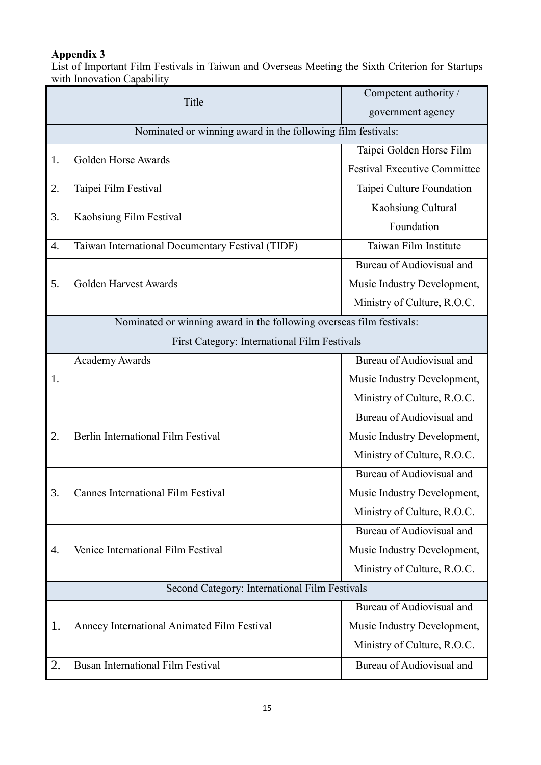## **Appendix 3**

List of Important Film Festivals in Taiwan and Overseas Meeting the Sixth Criterion for Startups with Innovation Capability

| Title                                                       |                                                                      | Competent authority /               |
|-------------------------------------------------------------|----------------------------------------------------------------------|-------------------------------------|
|                                                             |                                                                      | government agency                   |
| Nominated or winning award in the following film festivals: |                                                                      |                                     |
| 1.                                                          | Golden Horse Awards                                                  | Taipei Golden Horse Film            |
|                                                             |                                                                      | <b>Festival Executive Committee</b> |
| 2.                                                          | Taipei Film Festival                                                 | Taipei Culture Foundation           |
| 3.                                                          | Kaohsiung Film Festival                                              | Kaohsiung Cultural                  |
|                                                             |                                                                      | Foundation                          |
| 4.                                                          | Taiwan International Documentary Festival (TIDF)                     | Taiwan Film Institute               |
|                                                             |                                                                      | Bureau of Audiovisual and           |
| 5.                                                          | Golden Harvest Awards                                                | Music Industry Development,         |
|                                                             |                                                                      | Ministry of Culture, R.O.C.         |
|                                                             | Nominated or winning award in the following overseas film festivals: |                                     |
| First Category: International Film Festivals                |                                                                      |                                     |
|                                                             | <b>Academy Awards</b>                                                | Bureau of Audiovisual and           |
| 1.                                                          |                                                                      | Music Industry Development,         |
|                                                             |                                                                      | Ministry of Culture, R.O.C.         |
|                                                             |                                                                      | Bureau of Audiovisual and           |
| 2.                                                          | Berlin International Film Festival                                   | Music Industry Development,         |
|                                                             |                                                                      | Ministry of Culture, R.O.C.         |
|                                                             |                                                                      | Bureau of Audiovisual and           |
| 3.                                                          | Cannes International Film Festival                                   | Music Industry Development,         |
|                                                             |                                                                      | Ministry of Culture, R.O.C.         |
|                                                             |                                                                      | Bureau of Audiovisual and           |
| 4.                                                          | Venice International Film Festival                                   | Music Industry Development,         |
|                                                             |                                                                      | Ministry of Culture, R.O.C.         |
| Second Category: International Film Festivals               |                                                                      |                                     |
|                                                             |                                                                      | Bureau of Audiovisual and           |
| 1.                                                          | Annecy International Animated Film Festival                          | Music Industry Development,         |
|                                                             |                                                                      | Ministry of Culture, R.O.C.         |
| 2.                                                          | <b>Busan International Film Festival</b>                             | Bureau of Audiovisual and           |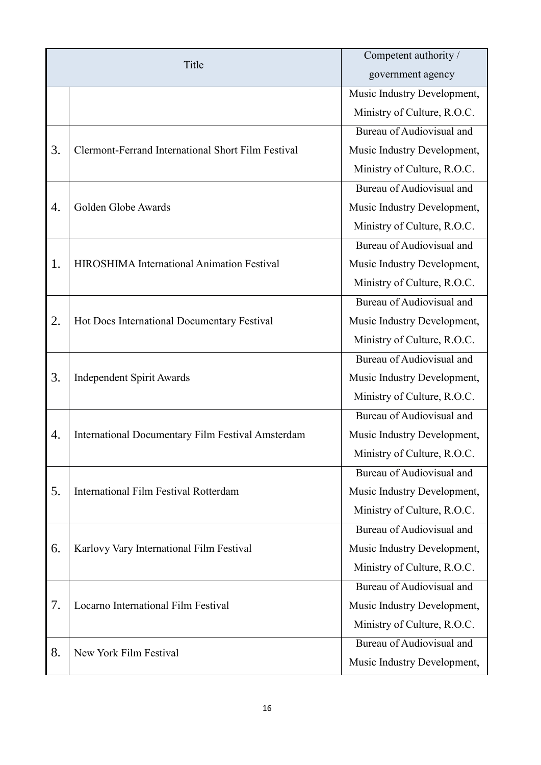| Title |                                                    | Competent authority /       |
|-------|----------------------------------------------------|-----------------------------|
|       |                                                    | government agency           |
|       |                                                    | Music Industry Development, |
|       |                                                    | Ministry of Culture, R.O.C. |
|       |                                                    | Bureau of Audiovisual and   |
| 3.    | Clermont-Ferrand International Short Film Festival | Music Industry Development, |
|       |                                                    | Ministry of Culture, R.O.C. |
|       | Golden Globe Awards                                | Bureau of Audiovisual and   |
| 4.    |                                                    | Music Industry Development, |
|       |                                                    | Ministry of Culture, R.O.C. |
|       |                                                    | Bureau of Audiovisual and   |
| 1.    | HIROSHIMA International Animation Festival         | Music Industry Development, |
|       |                                                    | Ministry of Culture, R.O.C. |
|       |                                                    | Bureau of Audiovisual and   |
| 2.    | Hot Docs International Documentary Festival        | Music Industry Development, |
|       |                                                    | Ministry of Culture, R.O.C. |
|       |                                                    | Bureau of Audiovisual and   |
| 3.    | <b>Independent Spirit Awards</b>                   | Music Industry Development, |
|       |                                                    | Ministry of Culture, R.O.C. |
|       | International Documentary Film Festival Amsterdam  | Bureau of Audiovisual and   |
| 4.    |                                                    | Music Industry Development, |
|       |                                                    | Ministry of Culture, R.O.C. |
|       |                                                    | Bureau of Audiovisual and   |
| 5.    | International Film Festival Rotterdam              | Music Industry Development, |
|       |                                                    | Ministry of Culture, R.O.C. |
|       |                                                    | Bureau of Audiovisual and   |
| 6.    | Karlovy Vary International Film Festival           | Music Industry Development, |
|       |                                                    | Ministry of Culture, R.O.C. |
| 7.    | Locarno International Film Festival                | Bureau of Audiovisual and   |
|       |                                                    | Music Industry Development, |
|       |                                                    | Ministry of Culture, R.O.C. |
| 8.    | New York Film Festival                             | Bureau of Audiovisual and   |
|       |                                                    | Music Industry Development, |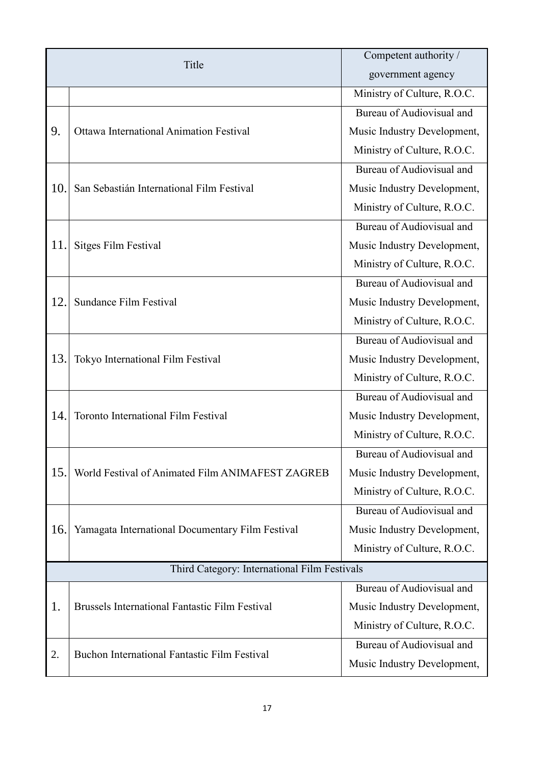| Title                                        |                                                       | Competent authority /       |
|----------------------------------------------|-------------------------------------------------------|-----------------------------|
|                                              |                                                       | government agency           |
|                                              |                                                       | Ministry of Culture, R.O.C. |
| 9.                                           | <b>Ottawa International Animation Festival</b>        | Bureau of Audiovisual and   |
|                                              |                                                       | Music Industry Development, |
|                                              |                                                       | Ministry of Culture, R.O.C. |
|                                              | San Sebastián International Film Festival             | Bureau of Audiovisual and   |
| 10.                                          |                                                       | Music Industry Development, |
|                                              |                                                       | Ministry of Culture, R.O.C. |
|                                              | <b>Sitges Film Festival</b>                           | Bureau of Audiovisual and   |
| 11.                                          |                                                       | Music Industry Development, |
|                                              |                                                       | Ministry of Culture, R.O.C. |
|                                              |                                                       | Bureau of Audiovisual and   |
| 12.                                          | Sundance Film Festival                                | Music Industry Development, |
|                                              |                                                       | Ministry of Culture, R.O.C. |
|                                              |                                                       | Bureau of Audiovisual and   |
| 13.                                          | Tokyo International Film Festival                     | Music Industry Development, |
|                                              |                                                       | Ministry of Culture, R.O.C. |
|                                              |                                                       | Bureau of Audiovisual and   |
| 14.                                          | Toronto International Film Festival                   | Music Industry Development, |
|                                              |                                                       | Ministry of Culture, R.O.C. |
|                                              | World Festival of Animated Film ANIMAFEST ZAGREB      | Bureau of Audiovisual and   |
| 15.                                          |                                                       | Music Industry Development, |
|                                              |                                                       | Ministry of Culture, R.O.C. |
|                                              |                                                       | Bureau of Audiovisual and   |
| 16.                                          | Yamagata International Documentary Film Festival      | Music Industry Development, |
|                                              |                                                       | Ministry of Culture, R.O.C. |
| Third Category: International Film Festivals |                                                       |                             |
|                                              |                                                       | Bureau of Audiovisual and   |
| 1.                                           | <b>Brussels International Fantastic Film Festival</b> | Music Industry Development, |
|                                              |                                                       | Ministry of Culture, R.O.C. |
|                                              | Buchon International Fantastic Film Festival          | Bureau of Audiovisual and   |
| 2.                                           |                                                       | Music Industry Development, |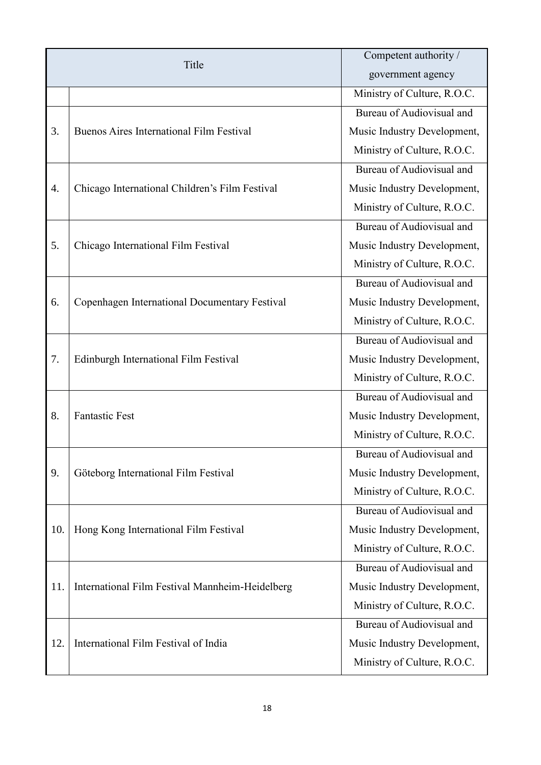| Title |                                                 | Competent authority /       |
|-------|-------------------------------------------------|-----------------------------|
|       |                                                 | government agency           |
|       |                                                 | Ministry of Culture, R.O.C. |
| 3.    | <b>Buenos Aires International Film Festival</b> | Bureau of Audiovisual and   |
|       |                                                 | Music Industry Development, |
|       |                                                 | Ministry of Culture, R.O.C. |
|       |                                                 | Bureau of Audiovisual and   |
| 4.    | Chicago International Children's Film Festival  | Music Industry Development, |
|       |                                                 | Ministry of Culture, R.O.C. |
|       |                                                 | Bureau of Audiovisual and   |
| 5.    | Chicago International Film Festival             | Music Industry Development, |
|       |                                                 | Ministry of Culture, R.O.C. |
|       |                                                 | Bureau of Audiovisual and   |
| 6.    | Copenhagen International Documentary Festival   | Music Industry Development, |
|       |                                                 | Ministry of Culture, R.O.C. |
|       |                                                 | Bureau of Audiovisual and   |
| 7.    | Edinburgh International Film Festival           | Music Industry Development, |
|       |                                                 | Ministry of Culture, R.O.C. |
|       |                                                 | Bureau of Audiovisual and   |
| 8.    | <b>Fantastic Fest</b>                           | Music Industry Development, |
|       |                                                 | Ministry of Culture, R.O.C. |
|       | Göteborg International Film Festival            | Bureau of Audiovisual and   |
| 9.    |                                                 | Music Industry Development, |
|       |                                                 | Ministry of Culture, R.O.C. |
|       |                                                 | Bureau of Audiovisual and   |
| 10.   | Hong Kong International Film Festival           | Music Industry Development, |
|       |                                                 | Ministry of Culture, R.O.C. |
|       | International Film Festival Mannheim-Heidelberg | Bureau of Audiovisual and   |
| 11.   |                                                 | Music Industry Development, |
|       |                                                 | Ministry of Culture, R.O.C. |
|       |                                                 | Bureau of Audiovisual and   |
| 12.   | International Film Festival of India            | Music Industry Development, |
|       |                                                 | Ministry of Culture, R.O.C. |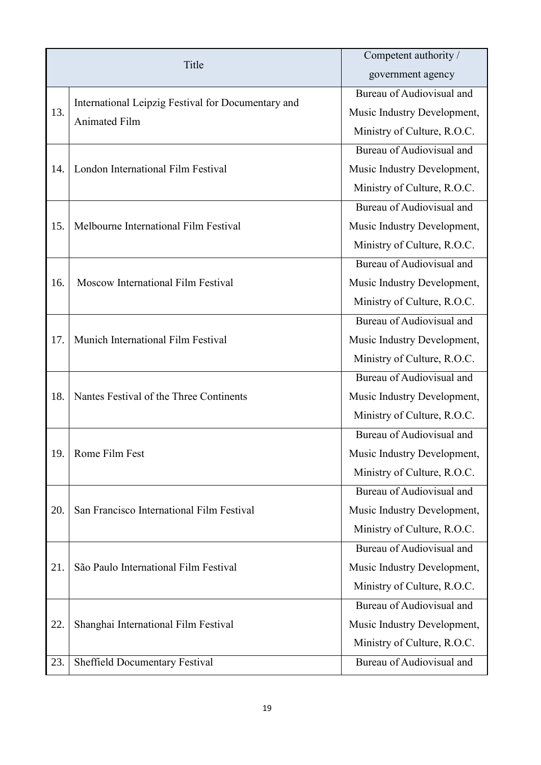| Title |                                                                            | Competent authority /       |
|-------|----------------------------------------------------------------------------|-----------------------------|
|       |                                                                            | government agency           |
| 13.   | International Leipzig Festival for Documentary and<br><b>Animated Film</b> | Bureau of Audiovisual and   |
|       |                                                                            | Music Industry Development, |
|       |                                                                            | Ministry of Culture, R.O.C. |
|       |                                                                            | Bureau of Audiovisual and   |
| 14.   | London International Film Festival                                         | Music Industry Development, |
|       |                                                                            | Ministry of Culture, R.O.C. |
|       |                                                                            | Bureau of Audiovisual and   |
| 15.   | Melbourne International Film Festival                                      | Music Industry Development, |
|       |                                                                            | Ministry of Culture, R.O.C. |
|       |                                                                            | Bureau of Audiovisual and   |
| 16.   | Moscow International Film Festival                                         | Music Industry Development, |
|       |                                                                            | Ministry of Culture, R.O.C. |
|       |                                                                            | Bureau of Audiovisual and   |
| 17.   | Munich International Film Festival                                         | Music Industry Development, |
|       |                                                                            | Ministry of Culture, R.O.C. |
|       |                                                                            | Bureau of Audiovisual and   |
| 18.   | Nantes Festival of the Three Continents                                    | Music Industry Development, |
|       |                                                                            | Ministry of Culture, R.O.C. |
|       |                                                                            | Bureau of Audiovisual and   |
| 19.   | Rome Film Fest                                                             | Music Industry Development, |
|       |                                                                            | Ministry of Culture, R.O.C. |
|       |                                                                            | Bureau of Audiovisual and   |
| 20.   | San Francisco International Film Festival                                  | Music Industry Development, |
|       |                                                                            | Ministry of Culture, R.O.C. |
|       |                                                                            | Bureau of Audiovisual and   |
| 21.   | São Paulo International Film Festival                                      | Music Industry Development, |
|       |                                                                            | Ministry of Culture, R.O.C. |
|       |                                                                            | Bureau of Audiovisual and   |
| 22.   | Shanghai International Film Festival                                       | Music Industry Development, |
|       |                                                                            | Ministry of Culture, R.O.C. |
| 23.   | Sheffield Documentary Festival                                             | Bureau of Audiovisual and   |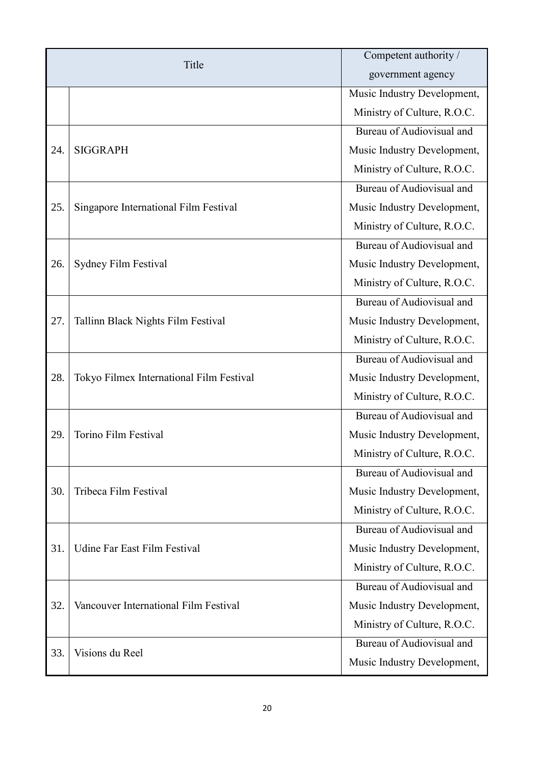| Title |                                          | Competent authority /       |
|-------|------------------------------------------|-----------------------------|
|       |                                          | government agency           |
|       |                                          | Music Industry Development, |
|       |                                          | Ministry of Culture, R.O.C. |
|       | <b>SIGGRAPH</b>                          | Bureau of Audiovisual and   |
| 24.   |                                          | Music Industry Development, |
|       |                                          | Ministry of Culture, R.O.C. |
|       | Singapore International Film Festival    | Bureau of Audiovisual and   |
| 25.   |                                          | Music Industry Development, |
|       |                                          | Ministry of Culture, R.O.C. |
|       |                                          | Bureau of Audiovisual and   |
| 26.   | Sydney Film Festival                     | Music Industry Development, |
|       |                                          | Ministry of Culture, R.O.C. |
|       |                                          | Bureau of Audiovisual and   |
| 27.   | Tallinn Black Nights Film Festival       | Music Industry Development, |
|       |                                          | Ministry of Culture, R.O.C. |
|       |                                          | Bureau of Audiovisual and   |
| 28.   | Tokyo Filmex International Film Festival | Music Industry Development, |
|       |                                          | Ministry of Culture, R.O.C. |
|       | Torino Film Festival                     | Bureau of Audiovisual and   |
| 29.   |                                          | Music Industry Development, |
|       |                                          | Ministry of Culture, R.O.C. |
|       |                                          | Bureau of Audiovisual and   |
| 30.   | Tribeca Film Festival                    | Music Industry Development, |
|       |                                          | Ministry of Culture, R.O.C. |
|       |                                          | Bureau of Audiovisual and   |
| 31.   | Udine Far East Film Festival             | Music Industry Development, |
|       |                                          | Ministry of Culture, R.O.C. |
| 32.   | Vancouver International Film Festival    | Bureau of Audiovisual and   |
|       |                                          | Music Industry Development, |
|       |                                          | Ministry of Culture, R.O.C. |
|       | Visions du Reel                          | Bureau of Audiovisual and   |
| 33.   |                                          | Music Industry Development, |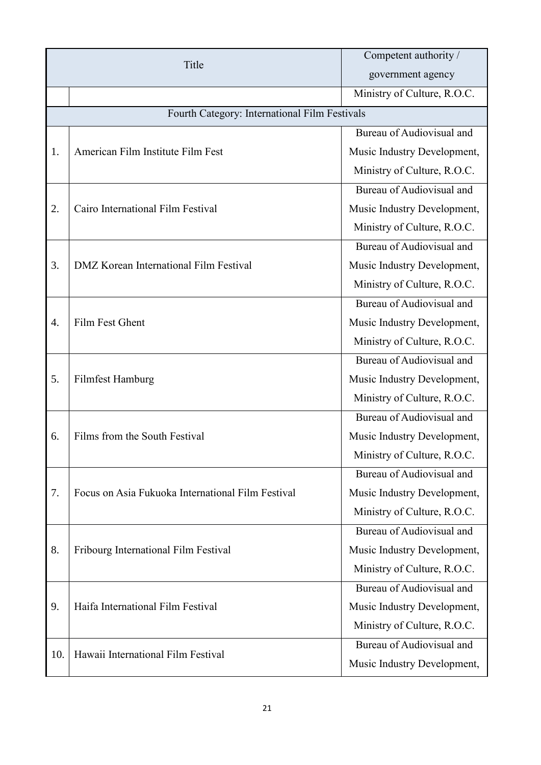| Title |                                                   | Competent authority /       |
|-------|---------------------------------------------------|-----------------------------|
|       |                                                   | government agency           |
|       |                                                   | Ministry of Culture, R.O.C. |
|       | Fourth Category: International Film Festivals     |                             |
| 1.    | American Film Institute Film Fest                 | Bureau of Audiovisual and   |
|       |                                                   | Music Industry Development, |
|       |                                                   | Ministry of Culture, R.O.C. |
|       | Cairo International Film Festival                 | Bureau of Audiovisual and   |
| 2.    |                                                   | Music Industry Development, |
|       |                                                   | Ministry of Culture, R.O.C. |
|       |                                                   | Bureau of Audiovisual and   |
| 3.    | DMZ Korean International Film Festival            | Music Industry Development, |
|       |                                                   | Ministry of Culture, R.O.C. |
|       | Film Fest Ghent                                   | Bureau of Audiovisual and   |
| 4.    |                                                   | Music Industry Development, |
|       |                                                   | Ministry of Culture, R.O.C. |
|       | Filmfest Hamburg                                  | Bureau of Audiovisual and   |
| 5.    |                                                   | Music Industry Development, |
|       |                                                   | Ministry of Culture, R.O.C. |
|       | Films from the South Festival                     | Bureau of Audiovisual and   |
| 6.    |                                                   | Music Industry Development, |
|       |                                                   | Ministry of Culture, R.O.C. |
|       |                                                   | Bureau of Audiovisual and   |
| 7.    | Focus on Asia Fukuoka International Film Festival | Music Industry Development, |
|       |                                                   | Ministry of Culture, R.O.C. |
|       |                                                   | Bureau of Audiovisual and   |
| 8.    | Fribourg International Film Festival              | Music Industry Development, |
|       |                                                   | Ministry of Culture, R.O.C. |
| 9.    |                                                   | Bureau of Audiovisual and   |
|       | Haifa International Film Festival                 | Music Industry Development, |
|       |                                                   | Ministry of Culture, R.O.C. |
|       | Hawaii International Film Festival                | Bureau of Audiovisual and   |
| 10.   |                                                   | Music Industry Development, |